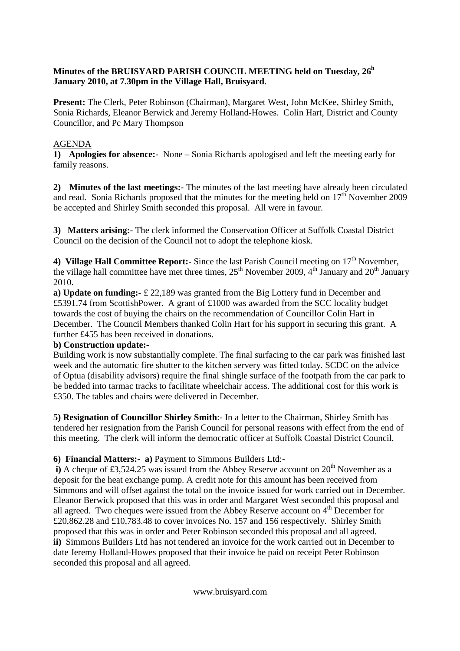## **Minutes of the BRUISYARD PARISH COUNCIL MEETING held on Tuesday, 26<sup>h</sup> January 2010, at 7.30pm in the Village Hall, Bruisyard**.

**Present:** The Clerk, Peter Robinson (Chairman), Margaret West, John McKee, Shirley Smith, Sonia Richards, Eleanor Berwick and Jeremy Holland-Howes. Colin Hart, District and County Councillor, and Pc Mary Thompson

# AGENDA

**1) Apologies for absence:-** None – Sonia Richards apologised and left the meeting early for family reasons.

**2) Minutes of the last meetings:-** The minutes of the last meeting have already been circulated and read. Sonia Richards proposed that the minutes for the meeting held on  $17<sup>th</sup>$  November 2009 be accepted and Shirley Smith seconded this proposal. All were in favour.

**3) Matters arising:-** The clerk informed the Conservation Officer at Suffolk Coastal District Council on the decision of the Council not to adopt the telephone kiosk.

4) **Village Hall Committee Report:**- Since the last Parish Council meeting on 17<sup>th</sup> November, the village hall committee have met three times,  $25<sup>th</sup>$  November 2009,  $4<sup>th</sup>$  January and  $20<sup>th</sup>$  January 2010.

**a) Update on funding:**- £ 22,189 was granted from the Big Lottery fund in December and £5391.74 from ScottishPower. A grant of £1000 was awarded from the SCC locality budget towards the cost of buying the chairs on the recommendation of Councillor Colin Hart in December. The Council Members thanked Colin Hart for his support in securing this grant. A further £455 has been received in donations.

## **b) Construction update:-**

Building work is now substantially complete. The final surfacing to the car park was finished last week and the automatic fire shutter to the kitchen servery was fitted today. SCDC on the advice of Optua (disability advisors) require the final shingle surface of the footpath from the car park to be bedded into tarmac tracks to facilitate wheelchair access. The additional cost for this work is £350. The tables and chairs were delivered in December.

**5) Resignation of Councillor Shirley Smith**:- In a letter to the Chairman, Shirley Smith has tendered her resignation from the Parish Council for personal reasons with effect from the end of this meeting. The clerk will inform the democratic officer at Suffolk Coastal District Council.

**6) Financial Matters:- a)** Payment to Simmons Builders Ltd:-

**i**) A cheque of £3,524.25 was issued from the Abbey Reserve account on  $20<sup>th</sup>$  November as a deposit for the heat exchange pump. A credit note for this amount has been received from Simmons and will offset against the total on the invoice issued for work carried out in December. Eleanor Berwick proposed that this was in order and Margaret West seconded this proposal and all agreed. Two cheques were issued from the Abbey Reserve account on 4<sup>th</sup> December for £20,862.28 and £10,783.48 to cover invoices No. 157 and 156 respectively. Shirley Smith proposed that this was in order and Peter Robinson seconded this proposal and all agreed. **ii)** Simmons Builders Ltd has not tendered an invoice for the work carried out in December to date Jeremy Holland-Howes proposed that their invoice be paid on receipt Peter Robinson seconded this proposal and all agreed.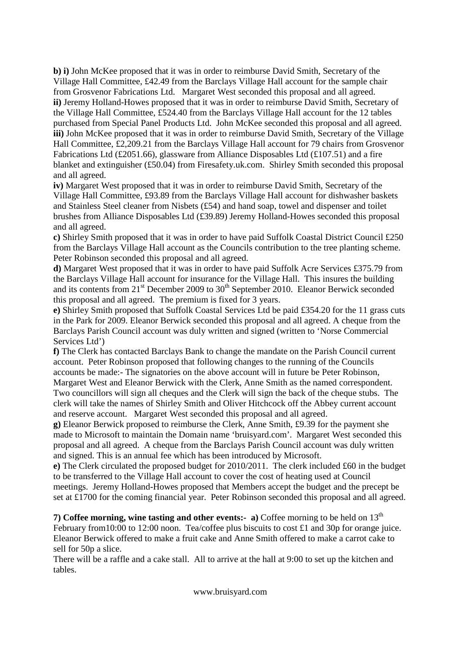**b) i)** John McKee proposed that it was in order to reimburse David Smith, Secretary of the Village Hall Committee, £42.49 from the Barclays Village Hall account for the sample chair from Grosvenor Fabrications Ltd. Margaret West seconded this proposal and all agreed. **ii)** Jeremy Holland-Howes proposed that it was in order to reimburse David Smith, Secretary of the Village Hall Committee, £524.40 from the Barclays Village Hall account for the 12 tables purchased from Special Panel Products Ltd. John McKee seconded this proposal and all agreed. **iii)** John McKee proposed that it was in order to reimburse David Smith, Secretary of the Village Hall Committee, £2,209.21 from the Barclays Village Hall account for 79 chairs from Grosvenor Fabrications Ltd (£2051.66), glassware from Alliance Disposables Ltd (£107.51) and a fire blanket and extinguisher (£50.04) from Firesafety.uk.com. Shirley Smith seconded this proposal and all agreed.

**iv)** Margaret West proposed that it was in order to reimburse David Smith, Secretary of the Village Hall Committee, £93.89 from the Barclays Village Hall account for dishwasher baskets and Stainless Steel cleaner from Nisbets (£54) and hand soap, towel and dispenser and toilet brushes from Alliance Disposables Ltd (£39.89) Jeremy Holland-Howes seconded this proposal and all agreed.

**c)** Shirley Smith proposed that it was in order to have paid Suffolk Coastal District Council £250 from the Barclays Village Hall account as the Councils contribution to the tree planting scheme. Peter Robinson seconded this proposal and all agreed.

**d)** Margaret West proposed that it was in order to have paid Suffolk Acre Services £375.79 from the Barclays Village Hall account for insurance for the Village Hall. This insures the building and its contents from  $21<sup>st</sup>$  December 2009 to  $30<sup>th</sup>$  September 2010. Eleanor Berwick seconded this proposal and all agreed. The premium is fixed for 3 years.

**e)** Shirley Smith proposed that Suffolk Coastal Services Ltd be paid £354.20 for the 11 grass cuts in the Park for 2009. Eleanor Berwick seconded this proposal and all agreed. A cheque from the Barclays Parish Council account was duly written and signed (written to 'Norse Commercial Services Ltd')

**f)** The Clerk has contacted Barclays Bank to change the mandate on the Parish Council current account. Peter Robinson proposed that following changes to the running of the Councils accounts be made:- The signatories on the above account will in future be Peter Robinson, Margaret West and Eleanor Berwick with the Clerk, Anne Smith as the named correspondent. Two councillors will sign all cheques and the Clerk will sign the back of the cheque stubs. The clerk will take the names of Shirley Smith and Oliver Hitchcock off the Abbey current account and reserve account. Margaret West seconded this proposal and all agreed.

**g)** Eleanor Berwick proposed to reimburse the Clerk, Anne Smith, £9.39 for the payment she made to Microsoft to maintain the Domain name 'bruisyard.com'. Margaret West seconded this proposal and all agreed. A cheque from the Barclays Parish Council account was duly written and signed. This is an annual fee which has been introduced by Microsoft.

**e)** The Clerk circulated the proposed budget for 2010/2011. The clerk included £60 in the budget to be transferred to the Village Hall account to cover the cost of heating used at Council meetings. Jeremy Holland-Howes proposed that Members accept the budget and the precept be set at £1700 for the coming financial year. Peter Robinson seconded this proposal and all agreed.

**7) Coffee morning, wine tasting and other events:- a**) Coffee morning to be held on  $13<sup>th</sup>$ February from 10:00 to 12:00 noon. Tea/coffee plus biscuits to cost £1 and 30p for orange juice. Eleanor Berwick offered to make a fruit cake and Anne Smith offered to make a carrot cake to sell for 50p a slice.

There will be a raffle and a cake stall. All to arrive at the hall at 9:00 to set up the kitchen and tables.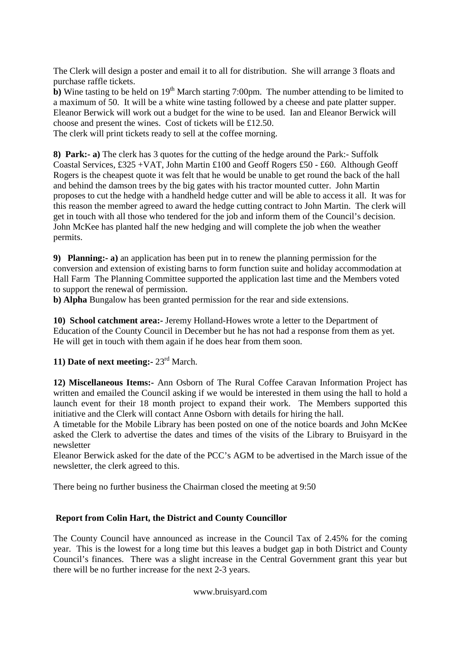The Clerk will design a poster and email it to all for distribution. She will arrange 3 floats and purchase raffle tickets.

**b**) Wine tasting to be held on  $19<sup>th</sup>$  March starting 7:00pm. The number attending to be limited to a maximum of 50. It will be a white wine tasting followed by a cheese and pate platter supper. Eleanor Berwick will work out a budget for the wine to be used. Ian and Eleanor Berwick will choose and present the wines. Cost of tickets will be £12.50.

The clerk will print tickets ready to sell at the coffee morning.

**8) Park:- a)** The clerk has 3 quotes for the cutting of the hedge around the Park:- Suffolk Coastal Services, £325 +VAT, John Martin £100 and Geoff Rogers £50 - £60. Although Geoff Rogers is the cheapest quote it was felt that he would be unable to get round the back of the hall and behind the damson trees by the big gates with his tractor mounted cutter. John Martin proposes to cut the hedge with a handheld hedge cutter and will be able to access it all. It was for this reason the member agreed to award the hedge cutting contract to John Martin. The clerk will get in touch with all those who tendered for the job and inform them of the Council's decision. John McKee has planted half the new hedging and will complete the job when the weather permits.

**9) Planning:- a)** an application has been put in to renew the planning permission for the conversion and extension of existing barns to form function suite and holiday accommodation at Hall Farm The Planning Committee supported the application last time and the Members voted to support the renewal of permission.

**b) Alpha** Bungalow has been granted permission for the rear and side extensions.

**10) School catchment area:-** Jeremy Holland-Howes wrote a letter to the Department of Education of the County Council in December but he has not had a response from them as yet. He will get in touch with them again if he does hear from them soon.

**11) Date of next meeting:-** 23rd March.

**12) Miscellaneous Items:-** Ann Osborn of The Rural Coffee Caravan Information Project has written and emailed the Council asking if we would be interested in them using the hall to hold a launch event for their 18 month project to expand their work. The Members supported this initiative and the Clerk will contact Anne Osborn with details for hiring the hall.

A timetable for the Mobile Library has been posted on one of the notice boards and John McKee asked the Clerk to advertise the dates and times of the visits of the Library to Bruisyard in the newsletter

Eleanor Berwick asked for the date of the PCC's AGM to be advertised in the March issue of the newsletter, the clerk agreed to this.

There being no further business the Chairman closed the meeting at 9:50

## **Report from Colin Hart, the District and County Councillor**

The County Council have announced as increase in the Council Tax of 2.45% for the coming year. This is the lowest for a long time but this leaves a budget gap in both District and County Council's finances. There was a slight increase in the Central Government grant this year but there will be no further increase for the next 2-3 years.